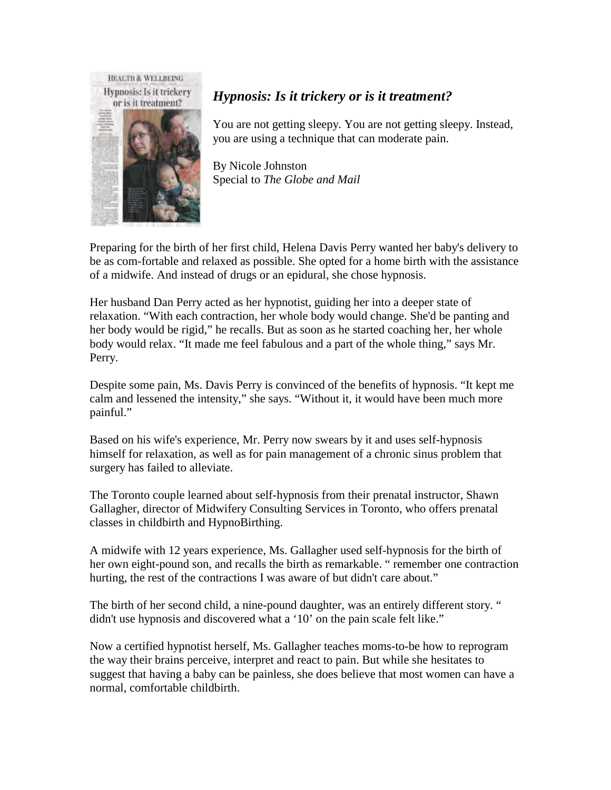

## *Hypnosis: Is it trickery or is it treatment?*

You are not getting sleepy. You are not getting sleepy. Instead, you are using a technique that can moderate pain.

By Nicole Johnston Special to *The Globe and Mail*

Preparing for the birth of her first child, Helena Davis Perry wanted her baby's delivery to be as com-fortable and relaxed as possible. She opted for a home birth with the assistance of a midwife. And instead of drugs or an epidural, she chose hypnosis.

Her husband Dan Perry acted as her hypnotist, guiding her into a deeper state of relaxation. "With each contraction, her whole body would change. She'd be panting and her body would be rigid," he recalls. But as soon as he started coaching her, her whole body would relax. "It made me feel fabulous and a part of the whole thing," says Mr. Perry.

Despite some pain, Ms. Davis Perry is convinced of the benefits of hypnosis. "It kept me calm and lessened the intensity," she says. "Without it, it would have been much more painful."

Based on his wife's experience, Mr. Perry now swears by it and uses self-hypnosis himself for relaxation, as well as for pain management of a chronic sinus problem that surgery has failed to alleviate.

The Toronto couple learned about self-hypnosis from their prenatal instructor, Shawn Gallagher, director of Midwifery Consulting Services in Toronto, who offers prenatal classes in childbirth and HypnoBirthing.

A midwife with 12 years experience, Ms. Gallagher used self-hypnosis for the birth of her own eight-pound son, and recalls the birth as remarkable. " remember one contraction hurting, the rest of the contractions I was aware of but didn't care about."

The birth of her second child, a nine-pound daughter, was an entirely different story. " didn't use hypnosis and discovered what a '10' on the pain scale felt like."

Now a certified hypnotist herself, Ms. Gallagher teaches moms-to-be how to reprogram the way their brains perceive, interpret and react to pain. But while she hesitates to suggest that having a baby can be painless, she does believe that most women can have a normal, comfortable childbirth.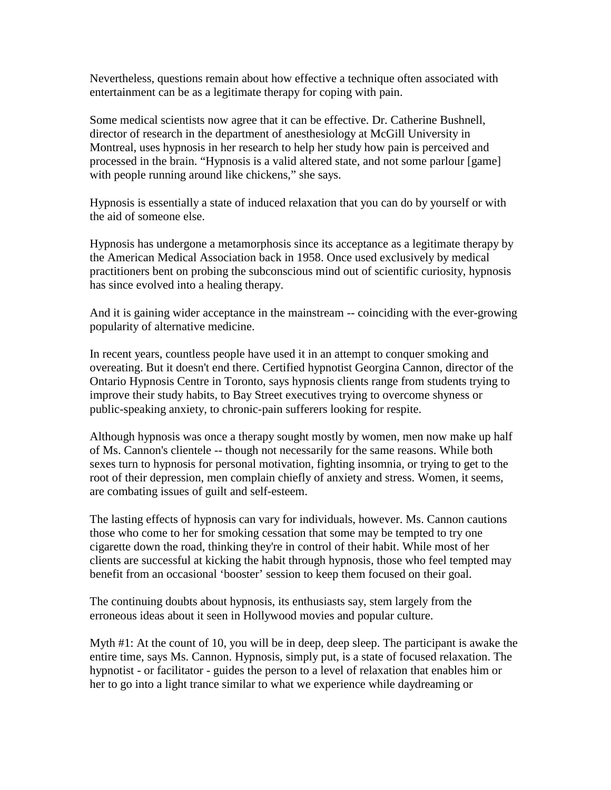Nevertheless, questions remain about how effective a technique often associated with entertainment can be as a legitimate therapy for coping with pain.

Some medical scientists now agree that it can be effective. Dr. Catherine Bushnell, director of research in the department of anesthesiology at McGill University in Montreal, uses hypnosis in her research to help her study how pain is perceived and processed in the brain. "Hypnosis is a valid altered state, and not some parlour [game] with people running around like chickens," she says.

Hypnosis is essentially a state of induced relaxation that you can do by yourself or with the aid of someone else.

Hypnosis has undergone a metamorphosis since its acceptance as a legitimate therapy by the American Medical Association back in 1958. Once used exclusively by medical practitioners bent on probing the subconscious mind out of scientific curiosity, hypnosis has since evolved into a healing therapy.

And it is gaining wider acceptance in the mainstream -- coinciding with the ever-growing popularity of alternative medicine.

In recent years, countless people have used it in an attempt to conquer smoking and overeating. But it doesn't end there. Certified hypnotist Georgina Cannon, director of the Ontario Hypnosis Centre in Toronto, says hypnosis clients range from students trying to improve their study habits, to Bay Street executives trying to overcome shyness or public-speaking anxiety, to chronic-pain sufferers looking for respite.

Although hypnosis was once a therapy sought mostly by women, men now make up half of Ms. Cannon's clientele -- though not necessarily for the same reasons. While both sexes turn to hypnosis for personal motivation, fighting insomnia, or trying to get to the root of their depression, men complain chiefly of anxiety and stress. Women, it seems, are combating issues of guilt and self-esteem.

The lasting effects of hypnosis can vary for individuals, however. Ms. Cannon cautions those who come to her for smoking cessation that some may be tempted to try one cigarette down the road, thinking they're in control of their habit. While most of her clients are successful at kicking the habit through hypnosis, those who feel tempted may benefit from an occasional 'booster' session to keep them focused on their goal.

The continuing doubts about hypnosis, its enthusiasts say, stem largely from the erroneous ideas about it seen in Hollywood movies and popular culture.

Myth #1: At the count of 10, you will be in deep, deep sleep. The participant is awake the entire time, says Ms. Cannon. Hypnosis, simply put, is a state of focused relaxation. The hypnotist - or facilitator - guides the person to a level of relaxation that enables him or her to go into a light trance similar to what we experience while daydreaming or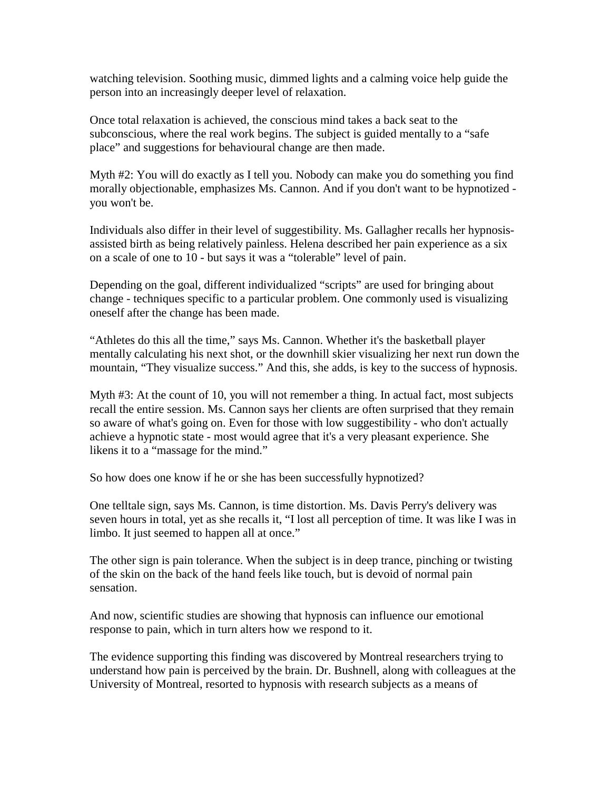watching television. Soothing music, dimmed lights and a calming voice help guide the person into an increasingly deeper level of relaxation.

Once total relaxation is achieved, the conscious mind takes a back seat to the subconscious, where the real work begins. The subject is guided mentally to a "safe place" and suggestions for behavioural change are then made.

Myth #2: You will do exactly as I tell you. Nobody can make you do something you find morally objectionable, emphasizes Ms. Cannon. And if you don't want to be hypnotized you won't be.

Individuals also differ in their level of suggestibility. Ms. Gallagher recalls her hypnosisassisted birth as being relatively painless. Helena described her pain experience as a six on a scale of one to 10 - but says it was a "tolerable" level of pain.

Depending on the goal, different individualized "scripts" are used for bringing about change - techniques specific to a particular problem. One commonly used is visualizing oneself after the change has been made.

"Athletes do this all the time," says Ms. Cannon. Whether it's the basketball player mentally calculating his next shot, or the downhill skier visualizing her next run down the mountain, "They visualize success." And this, she adds, is key to the success of hypnosis.

Myth #3: At the count of 10, you will not remember a thing. In actual fact, most subjects recall the entire session. Ms. Cannon says her clients are often surprised that they remain so aware of what's going on. Even for those with low suggestibility - who don't actually achieve a hypnotic state - most would agree that it's a very pleasant experience. She likens it to a "massage for the mind."

So how does one know if he or she has been successfully hypnotized?

One telltale sign, says Ms. Cannon, is time distortion. Ms. Davis Perry's delivery was seven hours in total, yet as she recalls it, "I lost all perception of time. It was like I was in limbo. It just seemed to happen all at once."

The other sign is pain tolerance. When the subject is in deep trance, pinching or twisting of the skin on the back of the hand feels like touch, but is devoid of normal pain sensation.

And now, scientific studies are showing that hypnosis can influence our emotional response to pain, which in turn alters how we respond to it.

The evidence supporting this finding was discovered by Montreal researchers trying to understand how pain is perceived by the brain. Dr. Bushnell, along with colleagues at the University of Montreal, resorted to hypnosis with research subjects as a means of